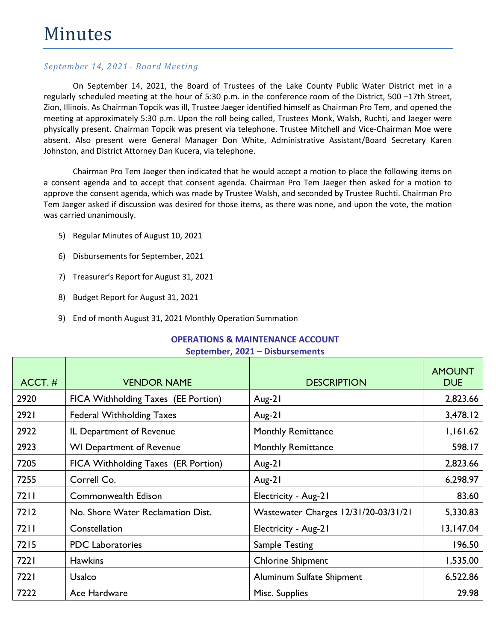On September 14, 2021, the Board of Trustees of the Lake County Public Water District met in a regularly scheduled meeting at the hour of 5:30 p.m. in the conference room of the District, 500 –17th Street, Zion, Illinois. As Chairman Topcik was ill, Trustee Jaeger identified himself as Chairman Pro Tem, and opened the meeting at approximately 5:30 p.m. Upon the roll being called, Trustees Monk, Walsh, Ruchti, and Jaeger were physically present. Chairman Topcik was present via telephone. Trustee Mitchell and Vice-Chairman Moe were absent. Also present were General Manager Don White, Administrative Assistant/Board Secretary Karen Johnston, and District Attorney Dan Kucera, via telephone.

Chairman Pro Tem Jaeger then indicated that he would accept a motion to place the following items on a consent agenda and to accept that consent agenda. Chairman Pro Tem Jaeger then asked for a motion to approve the consent agenda, which was made by Trustee Walsh, and seconded by Trustee Ruchti. Chairman Pro Tem Jaeger asked if discussion was desired for those items, as there was none, and upon the vote, the motion was carried unanimously.

- 5) Regular Minutes of August 10, 2021
- 6) Disbursements for September, 2021
- 7) Treasurer's Report for August 31, 2021
- 8) Budget Report for August 31, 2021
- 9) End of month August 31, 2021 Monthly Operation Summation

# ACCT. # UNIVERSIDATION NAME DESCRIPTION AMOUNT DUE 2920 | FICA Withholding Taxes (EE Portion) | Aug-21 | 2,823.66 2921 Federal Withholding Taxes Aug-21 Aug-21 3,478.12 2922 | IL Department of Revenue | Monthly Remittance | 1,161.62 2923 WI Department of Revenue Monthly Remittance 1923 Muslem S98.17 7205 | FICA Withholding Taxes (ER Portion) | Aug-21 | 2,823.66 7255 Correll Co. Aug-21 6,298.97 7211 | Commonwealth Edison | Electricity - Aug-21 | 83.60 7212 | No. Shore Water Reclamation Dist. | Wastewater Charges 12/31/20-03/31/21 | 5,330.83 7211 Constellation Electricity - Aug-21 13,147.04 7215 PDC Laboratories Sample Testing 196.50 7221 Hawkins Chlorine Shipment 1,535.00 7221 Usalco Aluminum Sulfate Shipment 6,522.86 7222 Ace Hardware Misc. Supplies 29.98

#### **OPERATIONS & MAINTENANCE ACCOUNT September, 2021 – Disbursements**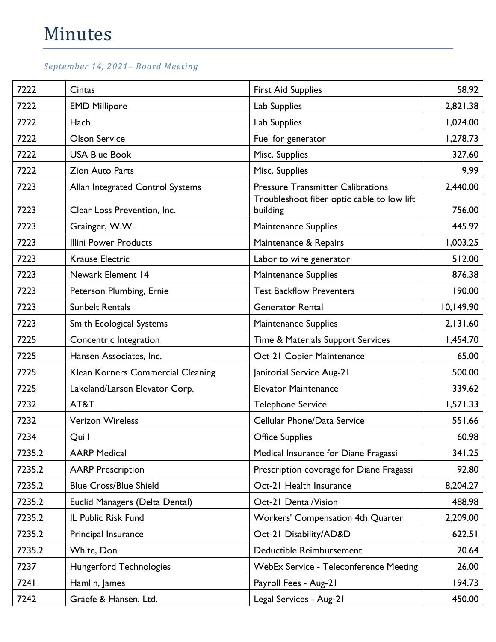| 7222   | Cintas                            | <b>First Aid Supplies</b>                              | 58.92     |
|--------|-----------------------------------|--------------------------------------------------------|-----------|
| 7222   | <b>EMD Millipore</b>              | Lab Supplies                                           | 2,821.38  |
| 7222   | Hach                              | Lab Supplies                                           | 1,024.00  |
| 7222   | <b>Olson Service</b>              | Fuel for generator                                     | 1,278.73  |
| 7222   | <b>USA Blue Book</b>              | Misc. Supplies                                         | 327.60    |
| 7222   | <b>Zion Auto Parts</b>            | Misc. Supplies                                         | 9.99      |
| 7223   | Allan Integrated Control Systems  | <b>Pressure Transmitter Calibrations</b>               | 2,440.00  |
| 7223   | Clear Loss Prevention, Inc.       | Troubleshoot fiber optic cable to low lift<br>building | 756.00    |
| 7223   | Grainger, W.W.                    | <b>Maintenance Supplies</b>                            | 445.92    |
| 7223   | <b>Illini Power Products</b>      | Maintenance & Repairs                                  | 1,003.25  |
| 7223   | <b>Krause Electric</b>            | Labor to wire generator                                | 512.00    |
| 7223   | Newark Element 14                 | <b>Maintenance Supplies</b>                            | 876.38    |
| 7223   | Peterson Plumbing, Ernie          | <b>Test Backflow Preventers</b>                        | 190.00    |
| 7223   | <b>Sunbelt Rentals</b>            | <b>Generator Rental</b>                                | 10,149.90 |
| 7223   | <b>Smith Ecological Systems</b>   | Maintenance Supplies                                   | 2,131.60  |
| 7225   | Concentric Integration            | Time & Materials Support Services                      | 1,454.70  |
| 7225   | Hansen Associates, Inc.           | Oct-21 Copier Maintenance                              | 65.00     |
| 7225   | Klean Korners Commercial Cleaning | Janitorial Service Aug-21                              | 500.00    |
| 7225   | Lakeland/Larsen Elevator Corp.    | <b>Elevator Maintenance</b>                            | 339.62    |
| 7232   | AT&T                              | <b>Telephone Service</b>                               | 1,571.33  |
| 7232   | <b>Verizon Wireless</b>           | Cellular Phone/Data Service                            | 551.66    |
| 7234   | Quill                             | <b>Office Supplies</b>                                 | 60.98     |
| 7235.2 | <b>AARP Medical</b>               | Medical Insurance for Diane Fragassi                   | 341.25    |
| 7235.2 | <b>AARP Prescription</b>          | Prescription coverage for Diane Fragassi               | 92.80     |
| 7235.2 | <b>Blue Cross/Blue Shield</b>     | Oct-21 Health Insurance                                | 8,204.27  |
| 7235.2 | Euclid Managers (Delta Dental)    | Oct-21 Dental/Vision                                   | 488.98    |
| 7235.2 | IL Public Risk Fund               | <b>Workers' Compensation 4th Quarter</b>               | 2,209.00  |
| 7235.2 | Principal Insurance               | Oct-21 Disability/AD&D                                 | 622.51    |
| 7235.2 | White, Don                        | Deductible Reimbursement                               | 20.64     |
| 7237   | <b>Hungerford Technologies</b>    | <b>WebEx Service - Teleconference Meeting</b>          | 26.00     |
| 7241   | Hamlin, James                     | Payroll Fees - Aug-21                                  | 194.73    |
| 7242   | Graefe & Hansen, Ltd.             | Legal Services - Aug-21                                | 450.00    |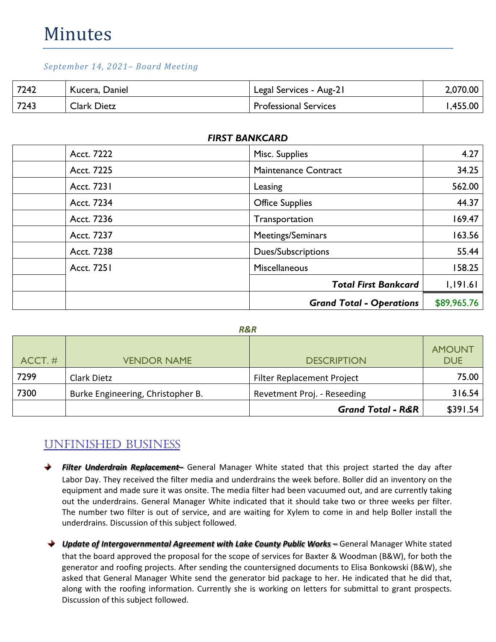# Minutes

#### *September 14, 2021– Board Meeting*

| 7242 | Kucera, Daniel     | Legal Services - Aug-21      | 2,070.00 |
|------|--------------------|------------------------------|----------|
| 7243 | <b>Clark Dietz</b> | <b>Professional Services</b> | ,455.00  |

| Acct. 7222 | Misc. Supplies                  | 4.27        |
|------------|---------------------------------|-------------|
| Acct. 7225 | <b>Maintenance Contract</b>     | 34.25       |
| Acct. 7231 | Leasing                         | 562.00      |
| Acct. 7234 | <b>Office Supplies</b>          | 44.37       |
| Acct. 7236 | Transportation                  | 169.47      |
| Acct. 7237 | Meetings/Seminars               | 163.56      |
| Acct. 7238 | Dues/Subscriptions              | 55.44       |
| Acct. 7251 | Miscellaneous                   | 158.25      |
|            | <b>Total First Bankcard</b>     | 1,191.61    |
|            | <b>Grand Total - Operations</b> | \$89,965.76 |

#### *FIRST BANKCARD*

| $ACCT.$ # | <b>VENDOR NAME</b>                | <b>DESCRIPTION</b>                | <b>AMOUNT</b><br><b>DUE</b> |
|-----------|-----------------------------------|-----------------------------------|-----------------------------|
| 7299      | Clark Dietz                       | <b>Filter Replacement Project</b> | 75.00                       |
| 7300      | Burke Engineering, Christopher B. | Revetment Proj. - Reseeding       | 316.54                      |
|           |                                   | <b>Grand Total - R&amp;R</b>      | \$391.54                    |

# UNFINISHED BUSINESS

- *Filter Underdrain Replacement–* General Manager White stated that this project started the day after Labor Day. They received the filter media and underdrains the week before. Boller did an inventory on the equipment and made sure it was onsite. The media filter had been vacuumed out, and are currently taking out the underdrains. General Manager White indicated that it should take two or three weeks per filter. The number two filter is out of service, and are waiting for Xylem to come in and help Boller install the underdrains. Discussion of this subject followed.
- **→** Update of Intergovernmental Agreement with Lake County Public Works General Manager White stated that the board approved the proposal for the scope of services for Baxter & Woodman (B&W), for both the generator and roofing projects. After sending the countersigned documents to Elisa Bonkowski (B&W), she asked that General Manager White send the generator bid package to her. He indicated that he did that, along with the roofing information. Currently she is working on letters for submittal to grant prospects. Discussion of this subject followed.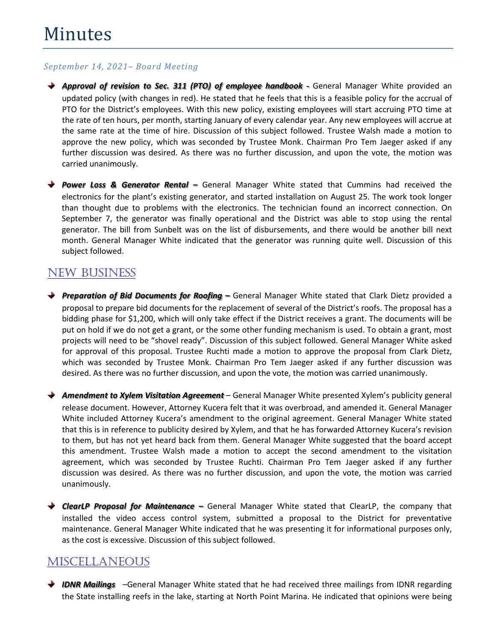*Approval of revision to Sec. 311 (PTO) of employee handbook -* General Manager White provided an updated policy (with changes in red). He stated that he feels that this is a feasible policy for the accrual of PTO for the District's employees. With this new policy, existing employees will start accruing PTO time at the rate of ten hours, per month, starting January of every calendar year. Any new employees will accrue at the same rate at the time of hire. Discussion of this subject followed. Trustee Walsh made a motion to approve the new policy, which was seconded by Trustee Monk. Chairman Pro Tem Jaeger asked if any further discussion was desired. As there was no further discussion, and upon the vote, the motion was carried unanimously.

*Power Loss & Generator Rental –* General Manager White stated that Cummins had received the electronics for the plant's existing generator, and started installation on August 25. The work took longer than thought due to problems with the electronics. The technician found an incorrect connection. On September 7, the generator was finally operational and the District was able to stop using the rental generator. The bill from Sunbelt was on the list of disbursements, and there would be another bill next month. General Manager White indicated that the generator was running quite well. Discussion of this subject followed.

## NEW BUSINESS

*Preparation of Bid Documents for Roofing –* General Manager White stated that Clark Dietz provided a proposal to prepare bid documents for the replacement of several of the District's roofs. The proposal has a bidding phase for \$1,200, which will only take effect if the District receives a grant. The documents will be put on hold if we do not get a grant, or the some other funding mechanism is used. To obtain a grant, most projects will need to be "shovel ready". Discussion of this subject followed. General Manager White asked for approval of this proposal. Trustee Ruchti made a motion to approve the proposal from Clark Dietz, which was seconded by Trustee Monk. Chairman Pro Tem Jaeger asked if any further discussion was desired. As there was no further discussion, and upon the vote, the motion was carried unanimously.

*Amendment to Xylem Visitation Agreement* – General Manager White presented Xylem's publicity general release document. However, Attorney Kucera felt that it was overbroad, and amended it. General Manager White included Attorney Kucera's amendment to the original agreement. General Manager White stated that this is in reference to publicity desired by Xylem, and that he has forwarded Attorney Kucera's revision to them, but has not yet heard back from them. General Manager White suggested that the board accept this amendment. Trustee Walsh made a motion to accept the second amendment to the visitation agreement, which was seconded by Trustee Ruchti. Chairman Pro Tem Jaeger asked if any further discussion was desired. As there was no further discussion, and upon the vote, the motion was carried unanimously.

◆ **ClearLP Proposal for Maintenance** – General Manager White stated that ClearLP, the company that installed the video access control system, submitted a proposal to the District for preventative maintenance. General Manager White indicated that he was presenting it for informational purposes only, as the cost is excessive. Discussion of this subject followed.

# **MISCELLANEOUS**

◆ **IDNR Mailings** –General Manager White stated that he had received three mailings from IDNR regarding the State installing reefs in the lake, starting at North Point Marina. He indicated that opinions were being